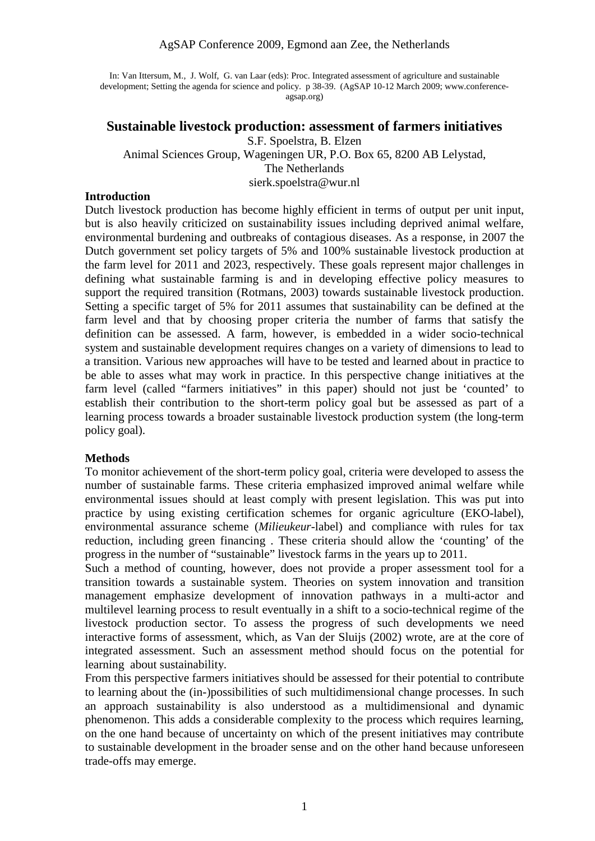#### AgSAP Conference 2009, Egmond aan Zee, the Netherlands

In: Van Ittersum, M., J. Wolf, G. van Laar (eds): Proc. Integrated assessment of agriculture and sustainable development; Setting the agenda for science and policy. p 38-39. (AgSAP 10-12 March 2009; www.conferenceagsap.org)

### **Sustainable livestock production: assessment of farmers initiatives** S.F. Spoelstra, B. Elzen

Animal Sciences Group, Wageningen UR, P.O. Box 65, 8200 AB Lelystad, The Netherlands sierk.spoelstra@wur.nl

#### **Introduction**

Dutch livestock production has become highly efficient in terms of output per unit input, but is also heavily criticized on sustainability issues including deprived animal welfare, environmental burdening and outbreaks of contagious diseases. As a response, in 2007 the Dutch government set policy targets of 5% and 100% sustainable livestock production at the farm level for 2011 and 2023, respectively. These goals represent major challenges in defining what sustainable farming is and in developing effective policy measures to support the required transition (Rotmans, 2003) towards sustainable livestock production. Setting a specific target of 5% for 2011 assumes that sustainability can be defined at the farm level and that by choosing proper criteria the number of farms that satisfy the definition can be assessed. A farm, however, is embedded in a wider socio-technical system and sustainable development requires changes on a variety of dimensions to lead to a transition. Various new approaches will have to be tested and learned about in practice to be able to asses what may work in practice. In this perspective change initiatives at the farm level (called "farmers initiatives" in this paper) should not just be 'counted' to establish their contribution to the short-term policy goal but be assessed as part of a learning process towards a broader sustainable livestock production system (the long-term policy goal).

#### **Methods**

To monitor achievement of the short-term policy goal, criteria were developed to assess the number of sustainable farms. These criteria emphasized improved animal welfare while environmental issues should at least comply with present legislation. This was put into practice by using existing certification schemes for organic agriculture (EKO-label), environmental assurance scheme (*Milieukeur*-label) and compliance with rules for tax reduction, including green financing . These criteria should allow the 'counting' of the progress in the number of "sustainable" livestock farms in the years up to 2011.

Such a method of counting, however, does not provide a proper assessment tool for a transition towards a sustainable system. Theories on system innovation and transition management emphasize development of innovation pathways in a multi-actor and multilevel learning process to result eventually in a shift to a socio-technical regime of the livestock production sector. To assess the progress of such developments we need interactive forms of assessment, which, as Van der Sluijs (2002) wrote, are at the core of integrated assessment. Such an assessment method should focus on the potential for learning about sustainability.

From this perspective farmers initiatives should be assessed for their potential to contribute to learning about the (in-)possibilities of such multidimensional change processes. In such an approach sustainability is also understood as a multidimensional and dynamic phenomenon. This adds a considerable complexity to the process which requires learning, on the one hand because of uncertainty on which of the present initiatives may contribute to sustainable development in the broader sense and on the other hand because unforeseen trade-offs may emerge.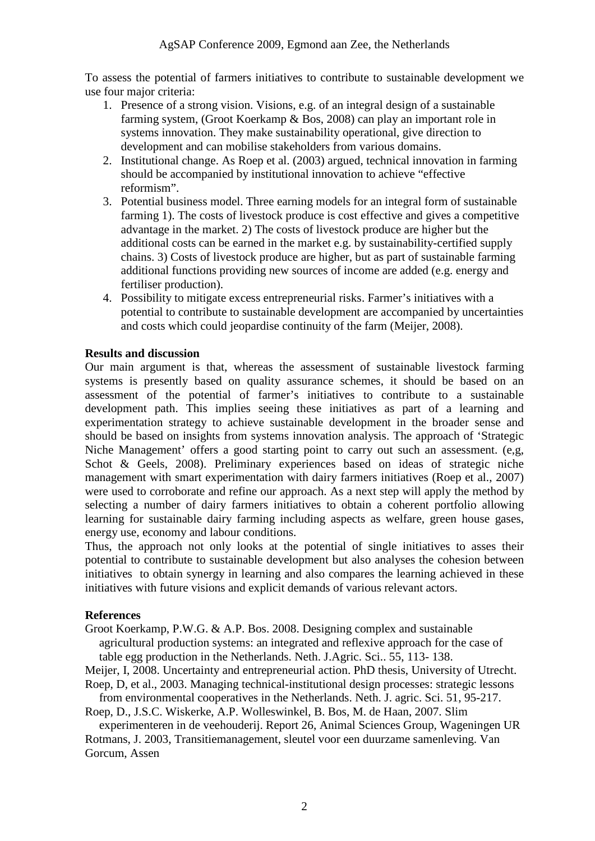To assess the potential of farmers initiatives to contribute to sustainable development we use four major criteria:

- 1. Presence of a strong vision. Visions, e.g. of an integral design of a sustainable farming system, (Groot Koerkamp & Bos, 2008) can play an important role in systems innovation. They make sustainability operational, give direction to development and can mobilise stakeholders from various domains.
- 2. Institutional change. As Roep et al. (2003) argued, technical innovation in farming should be accompanied by institutional innovation to achieve "effective reformism".
- 3. Potential business model. Three earning models for an integral form of sustainable farming 1). The costs of livestock produce is cost effective and gives a competitive advantage in the market. 2) The costs of livestock produce are higher but the additional costs can be earned in the market e.g. by sustainability-certified supply chains. 3) Costs of livestock produce are higher, but as part of sustainable farming additional functions providing new sources of income are added (e.g. energy and fertiliser production).
- 4. Possibility to mitigate excess entrepreneurial risks. Farmer's initiatives with a potential to contribute to sustainable development are accompanied by uncertainties and costs which could jeopardise continuity of the farm (Meijer, 2008).

## **Results and discussion**

Our main argument is that, whereas the assessment of sustainable livestock farming systems is presently based on quality assurance schemes, it should be based on an assessment of the potential of farmer's initiatives to contribute to a sustainable development path. This implies seeing these initiatives as part of a learning and experimentation strategy to achieve sustainable development in the broader sense and should be based on insights from systems innovation analysis. The approach of 'Strategic Niche Management' offers a good starting point to carry out such an assessment. (e,g, Schot & Geels, 2008). Preliminary experiences based on ideas of strategic niche management with smart experimentation with dairy farmers initiatives (Roep et al., 2007) were used to corroborate and refine our approach. As a next step will apply the method by selecting a number of dairy farmers initiatives to obtain a coherent portfolio allowing learning for sustainable dairy farming including aspects as welfare, green house gases, energy use, economy and labour conditions.

Thus, the approach not only looks at the potential of single initiatives to asses their potential to contribute to sustainable development but also analyses the cohesion between initiatives to obtain synergy in learning and also compares the learning achieved in these initiatives with future visions and explicit demands of various relevant actors.

# **References**

Groot Koerkamp, P.W.G. & A.P. Bos. 2008. Designing complex and sustainable

agricultural production systems: an integrated and reflexive approach for the case of table egg production in the Netherlands. Neth. J.Agric. Sci.. 55, 113- 138.

Meijer, I, 2008. Uncertainty and entrepreneurial action. PhD thesis, University of Utrecht. Roep, D, et al., 2003. Managing technical-institutional design processes: strategic lessons

from environmental cooperatives in the Netherlands. Neth. J. agric. Sci. 51, 95-217. Roep, D., J.S.C. Wiskerke, A.P. Wolleswinkel, B. Bos, M. de Haan, 2007. Slim

experimenteren in de veehouderij. Report 26, Animal Sciences Group, Wageningen UR Rotmans, J. 2003, Transitiemanagement, sleutel voor een duurzame samenleving. Van Gorcum, Assen